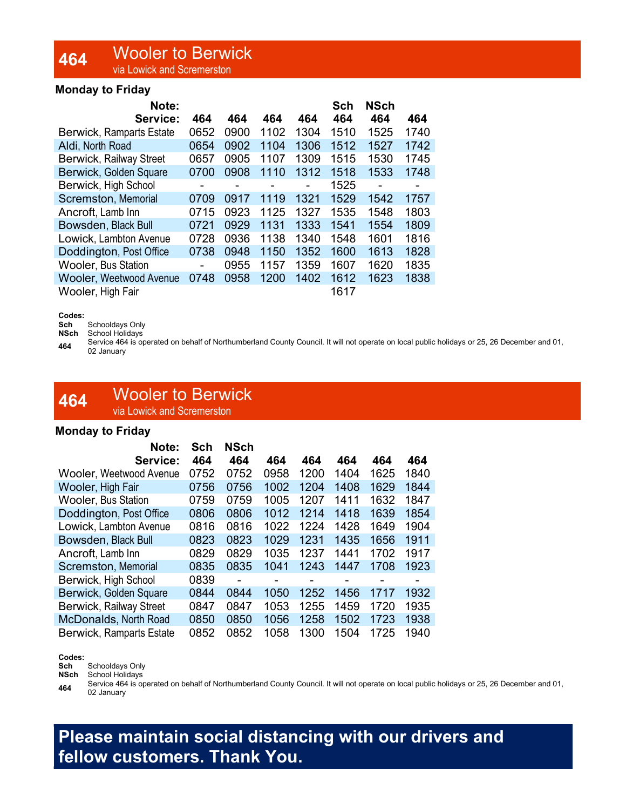# 464 Wooler to Berwick

via Lowick and Scremerston

### Monday to Friday

| Note:                           |                |      |                |      | Sch  | <b>NSch</b>    |                |
|---------------------------------|----------------|------|----------------|------|------|----------------|----------------|
| Service:                        | 464            | 464  | 464            | 464  | 464  | 464            | 464            |
| <b>Berwick, Ramparts Estate</b> | 0652           | 0900 | 1102           | 1304 | 1510 | 1525           | 1740           |
| Aldi, North Road                | 0654           | 0902 | 1104           | 1306 | 1512 | 1527           | 1742           |
| Berwick, Railway Street         | 0657           | 0905 | 1107           | 1309 | 1515 | 1530           | 1745           |
| Berwick, Golden Square          | 0700           | 0908 | 1110           | 1312 | 1518 | 1533           | 1748           |
| Berwick, High School            | $\blacksquare$ | -    | $\blacksquare$ |      | 1525 | $\blacksquare$ | $\blacksquare$ |
| <b>Scremston, Memorial</b>      | 0709           | 0917 | 1119           | 1321 | 1529 | 1542           | 1757           |
| Ancroft, Lamb Inn               | 0715           | 0923 | 1125           | 1327 | 1535 | 1548           | 1803           |
| Bowsden, Black Bull             | 0721           | 0929 | 1131           | 1333 | 1541 | 1554           | 1809           |
| Lowick, Lambton Avenue          | 0728           | 0936 | 1138           | 1340 | 1548 | 1601           | 1816           |
| Doddington, Post Office         | 0738           | 0948 | 1150           | 1352 | 1600 | 1613           | 1828           |
| <b>Wooler, Bus Station</b>      |                | 0955 | 1157           | 1359 | 1607 | 1620           | 1835           |
| <b>Wooler, Weetwood Avenue</b>  | 0748           | 0958 | 1200           | 1402 | 1612 | 1623           | 1838           |
| Wooler, High Fair               |                |      |                |      | 1617 |                |                |

#### Codes:

Sch Schooldays Only

NSch School Holidays

Service 464 is operated on behalf of Northumberland County Council. It will not operate on local public holidays or 25, 26 December and 01, 02 January

### 464 Wooler to Berwick via Lowick and Scremerston

### Monday to Friday

| Note:                           | Sch  | <b>NSch</b>              |                |      |      |      |      |
|---------------------------------|------|--------------------------|----------------|------|------|------|------|
| Service:                        | 464  | 464                      | 464            | 464  | 464  | 464  | 464  |
| <b>Wooler, Weetwood Avenue</b>  | 0752 | 0752                     | 0958           | 1200 | 1404 | 1625 | 1840 |
| <b>Wooler, High Fair</b>        | 0756 | 0756                     | 1002           | 1204 | 1408 | 1629 | 1844 |
| <b>Wooler, Bus Station</b>      | 0759 | 0759                     | 1005           | 1207 | 1411 | 1632 | 1847 |
| Doddington, Post Office         | 0806 | 0806                     | 1012           | 1214 | 1418 | 1639 | 1854 |
| Lowick, Lambton Avenue          | 0816 | 0816                     | 1022           | 1224 | 1428 | 1649 | 1904 |
| Bowsden, Black Bull             | 0823 | 0823                     | 1029           | 1231 | 1435 | 1656 | 1911 |
| Ancroft, Lamb Inn               | 0829 | 0829                     | 1035           | 1237 | 1441 | 1702 | 1917 |
| Scremston, Memorial             | 0835 | 0835                     | 1041           | 1243 | 1447 | 1708 | 1923 |
| Berwick, High School            | 0839 | $\overline{\phantom{0}}$ | $\blacksquare$ | -    |      | -    | -    |
| Berwick, Golden Square          | 0844 | 0844                     | 1050           | 1252 | 1456 | 1717 | 1932 |
| Berwick, Railway Street         | 0847 | 0847                     | 1053           | 1255 | 1459 | 1720 | 1935 |
| McDonalds, North Road           | 0850 | 0850                     | 1056           | 1258 | 1502 | 1723 | 1938 |
| <b>Berwick, Ramparts Estate</b> | 0852 | 0852                     | 1058           | 1300 | 1504 | 1725 | 1940 |

### Codes:

Sch Schooldays Only

NSch School Holidays

464 Service 464 is operated on behalf of Northumberland County Council. It will not operate on local public holidays or 25, 26 December and 01, 02 January

## Please maintain social distancing with our drivers and fellow customers. Thank You.